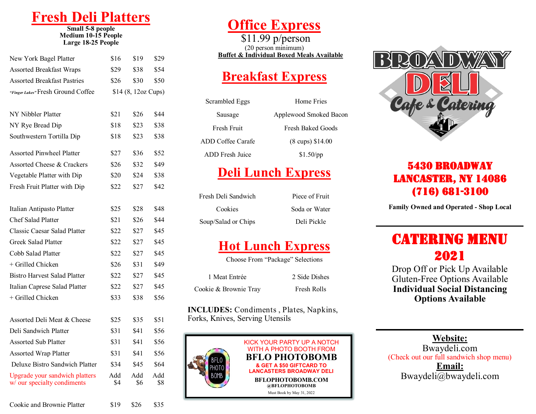# **Fresh Deli Platters**

**Small 5-8 people Medium 10-15 People Large 18-25 People**

| New York Bagel Platter                                        | \$16       | \$19                | \$29       |
|---------------------------------------------------------------|------------|---------------------|------------|
| <b>Assorted Breakfast Wraps</b>                               | \$29       | \$38                | \$54       |
| <b>Assorted Breakfast Pastries</b>                            | \$26       | \$30                | \$50       |
| "Finger Lakes" Fresh Ground Coffee                            |            | \$14 (8, 12oz Cups) |            |
|                                                               |            |                     |            |
| NY Nibbler Platter                                            | \$21       | \$26                | \$44       |
| NY Rye Bread Dip                                              | \$18       | \$23                | \$38       |
| Southwestern Tortilla Dip                                     | \$18       | \$23                | \$38       |
| <b>Assorted Pinwheel Platter</b>                              | \$27       | \$36                | \$52       |
| Assorted Cheese & Crackers                                    | \$26       | \$32                | \$49       |
| Vegetable Platter with Dip                                    | \$20       | \$24                | \$38       |
| Fresh Fruit Platter with Dip                                  | \$22       | \$27                | \$42       |
|                                                               |            |                     |            |
| Italian Antipasto Platter                                     | \$25       | \$28                | \$48       |
| <b>Chef Salad Platter</b>                                     | \$21       | \$26                | \$44       |
| Classic Caesar Salad Platter                                  | \$22       | \$27                | \$45       |
| <b>Greek Salad Platter</b>                                    | \$22       | \$27                | \$45       |
| Cobb Salad Platter                                            | \$22       | \$27                | \$45       |
| + Grilled Chicken                                             | \$26       | \$31                | \$49       |
| <b>Bistro Harvest Salad Platter</b>                           | \$22       | \$27                | \$45       |
| Italian Caprese Salad Platter                                 | \$22       | \$27                | \$45       |
| + Grilled Chicken                                             | \$33       | \$38                | \$56       |
|                                                               |            |                     |            |
| Assorted Deli Meat & Cheese                                   | \$25       | \$35                | \$51       |
| Deli Sandwich Platter                                         | \$31       | \$41                | \$56       |
| <b>Assorted Sub Platter</b>                                   | \$31       | \$41                | \$56       |
| <b>Assorted Wrap Platter</b>                                  | \$31       | \$41                | \$56       |
| Deluxe Bistro Sandwich Platter                                | \$34       | \$45                | \$64       |
| Upgrade your sandwich platters<br>w/ our specialty condiments | Add<br>\$4 | Add<br>\$6          | Add<br>\$8 |
|                                                               |            |                     |            |

# **Office Express**

\$11.99 p/person (20 person minimum) **Buffet & Individual Boxed Meals Available**

### **Breakfast Express**

| Scrambled Eggs           | Home Fries                 |
|--------------------------|----------------------------|
| Sausage                  | Applewood Smoked Bacon     |
| Fresh Fruit              | Fresh Baked Goods          |
| <b>ADD Coffee Carafe</b> | $(8 \text{ cups})$ \$14.00 |
| ADD Fresh Juice          | $$1.50$ /pp                |

## **Deli Lunch Express**

Fresh Deli Sandwich Piece of Fruit Cookies Soda or Water Soup/Salad or Chips Deli Pickle

### **Hot Lunch Express**

|                       | Choose From "Package" Selections |
|-----------------------|----------------------------------|
| 1 Meat Entrée         | 2 Side Dishes                    |
| Cookie & Brownie Tray | Fresh Rolls                      |

**INCLUDES:** Condiments , Plates, Napkins, Forks, Knives, Serving Utensils





### 5430 Broadway Lancaster, NY 14086 (716) 681-3100

**Family Owned and Operated - Shop Local**

## **CATERING MENU** 2021

Drop Off or Pick Up Available Gluten-Free Options Available **Individual Social Distancing Options Available** 

#### **Website:**

Bwaydeli.com (Check out our full sandwich shop menu) **Email:**  Bwaydeli@bwaydeli.com

Cookie and Brownie Platter \$19 \$26 \$35